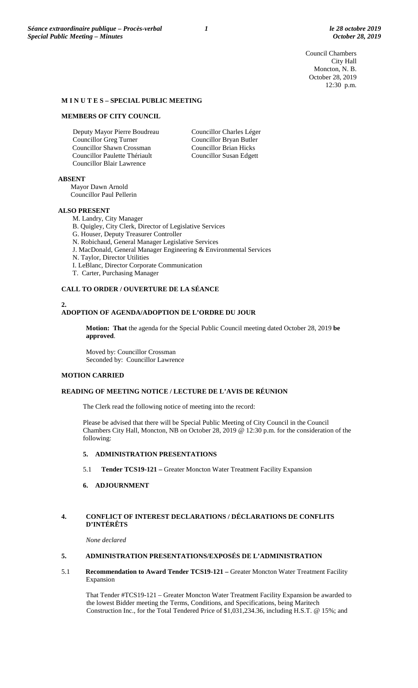Council Chambers City Hall Moncton, N. B. October 28, 2019 12:30 p.m.

#### **M I N U T E S – SPECIAL PUBLIC MEETING**

### **MEMBERS OF CITY COUNCIL**

Deputy Mayor Pierre Boudreau Councillor Greg Turner Councillor Shawn Crossman Councillor Paulette Thériault Councillor Blair Lawrence

Councillor Charles Léger Councillor Bryan Butler Councillor Brian Hicks Councillor Susan Edgett

**ABSENT**

Mayor Dawn Arnold Councillor Paul Pellerin

#### **ALSO PRESENT**

M. Landry, City Manager

- B. Quigley, City Clerk, Director of Legislative Services
- G. Houser, Deputy Treasurer Controller
- N. Robichaud, General Manager Legislative Services
- J. MacDonald, General Manager Engineering & Environmental Services
- N. Taylor, Director Utilities
- I. LeBlanc, Director Corporate Communication
- T. Carter, Purchasing Manager

#### **CALL TO ORDER / OUVERTURE DE LA SÉANCE**

#### **2. ADOPTION OF AGENDA/ADOPTION DE L'ORDRE DU JOUR**

**Motion: That** the agenda for the Special Public Council meeting dated October 28, 2019 **be approved**.

Moved by: Councillor Crossman Seconded by: Councillor Lawrence

#### **MOTION CARRIED**

## **READING OF MEETING NOTICE / LECTURE DE L'AVIS DE RÉUNION**

The Clerk read the following notice of meeting into the record:

Please be advised that there will be Special Public Meeting of City Council in the Council Chambers City Hall, Moncton, NB on October 28, 2019 @ 12:30 p.m. for the consideration of the following:

### **5. ADMINISTRATION PRESENTATIONS**

5.1 **Tender TCS19-121 –** Greater Moncton Water Treatment Facility Expansion

## **6. ADJOURNMENT**

### **4. CONFLICT OF INTEREST DECLARATIONS / DÉCLARATIONS DE CONFLITS D'INTÉRÊTS**

*None declared*

### **5. ADMINISTRATION PRESENTATIONS/EXPOSÉS DE L'ADMINISTRATION**

5.1 **Recommendation to Award Tender TCS19-121 –** Greater Moncton Water Treatment Facility Expansion

That Tender #TCS19-121 – Greater Moncton Water Treatment Facility Expansion be awarded to the lowest Bidder meeting the Terms, Conditions, and Specifications, being Maritech Construction Inc., for the Total Tendered Price of \$1,031,234.36, including H.S.T. @ 15%; and